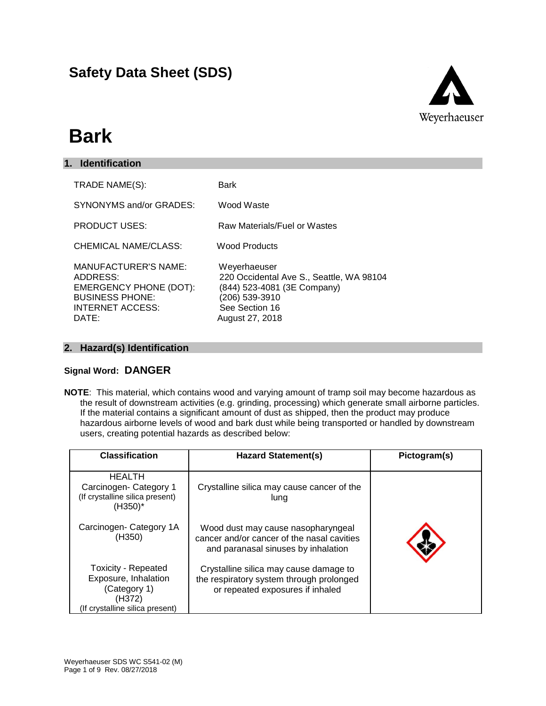### **Safety Data Sheet (SDS)**



# **Bark**

| <b>Identification</b><br>1.                                                                                                            |                                                                                                                                                |
|----------------------------------------------------------------------------------------------------------------------------------------|------------------------------------------------------------------------------------------------------------------------------------------------|
| TRADE NAME(S):                                                                                                                         | Bark                                                                                                                                           |
| SYNONYMS and/or GRADES:                                                                                                                | Wood Waste                                                                                                                                     |
| <b>PRODUCT USES:</b>                                                                                                                   | Raw Materials/Fuel or Wastes                                                                                                                   |
| CHEMICAL NAME/CLASS:                                                                                                                   | Wood Products                                                                                                                                  |
| <b>MANUFACTURER'S NAME:</b><br>ADDRESS:<br><b>EMERGENCY PHONE (DOT):</b><br><b>BUSINESS PHONE:</b><br><b>INTERNET ACCESS:</b><br>DATE: | Weyerhaeuser<br>220 Occidental Ave S., Seattle, WA 98104<br>(844) 523-4081 (3E Company)<br>(206) 539-3910<br>See Section 16<br>August 27, 2018 |

#### **2. Hazard(s) Identification**

#### **Signal Word: DANGER**

**NOTE**: This material, which contains wood and varying amount of tramp soil may become hazardous as the result of downstream activities (e.g. grinding, processing) which generate small airborne particles. If the material contains a significant amount of dust as shipped, then the product may produce hazardous airborne levels of wood and bark dust while being transported or handled by downstream users, creating potential hazards as described below:

| <b>Classification</b>                                                                                           | <b>Hazard Statement(s)</b>                                                                                              | Pictogram(s) |
|-----------------------------------------------------------------------------------------------------------------|-------------------------------------------------------------------------------------------------------------------------|--------------|
| <b>HEALTH</b><br>Carcinogen-Category 1<br>(If crystalline silica present)<br>$(H350)^*$                         | Crystalline silica may cause cancer of the<br>lung                                                                      |              |
| Carcinogen-Category 1A<br>(H350)                                                                                | Wood dust may cause nasopharyngeal<br>cancer and/or cancer of the nasal cavities<br>and paranasal sinuses by inhalation |              |
| <b>Toxicity - Repeated</b><br>Exposure, Inhalation<br>(Category 1)<br>(H372)<br>(If crystalline silica present) | Crystalline silica may cause damage to<br>the respiratory system through prolonged<br>or repeated exposures if inhaled  |              |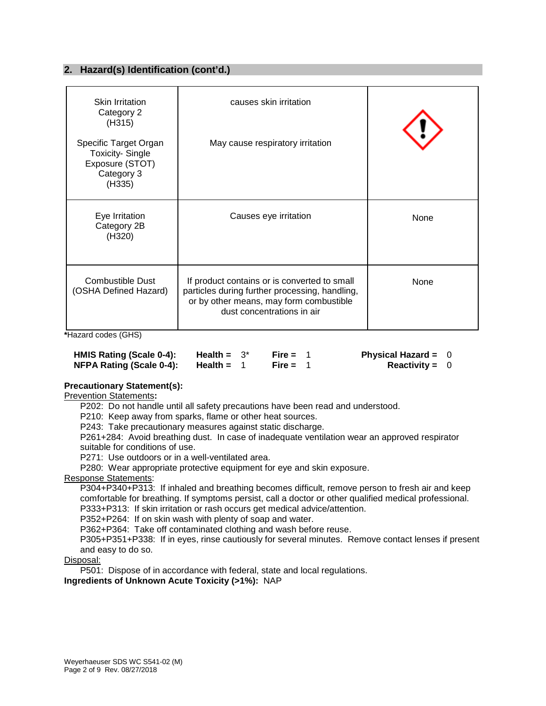#### **2. Hazard(s) Identification (cont'd.)**

| <b>Skin Irritation</b><br>Category 2<br>(H315)<br>Specific Target Organ | causes skin irritation<br>May cause respiratory irritation                                                                                                              |      |
|-------------------------------------------------------------------------|-------------------------------------------------------------------------------------------------------------------------------------------------------------------------|------|
| <b>Toxicity-Single</b><br>Exposure (STOT)<br>Category 3<br>(H335)       |                                                                                                                                                                         |      |
| Eye Irritation<br>Category 2B<br>(H320)                                 | Causes eye irritation                                                                                                                                                   | None |
| <b>Combustible Dust</b><br>(OSHA Defined Hazard)                        | If product contains or is converted to small<br>particles during further processing, handling,<br>or by other means, may form combustible<br>dust concentrations in air | None |

**\***Hazard codes (GHS)

| HMIS Rating (Scale 0-4):        | Health = $3^*$ | Fire = $1$ | Physical Hazard = $0$   |  |
|---------------------------------|----------------|------------|-------------------------|--|
| <b>NFPA Rating (Scale 0-4):</b> | Health =       | Fire = $1$ | <b>Reactivity</b> = $0$ |  |

#### **Precautionary Statement(s):**

Prevention Statements**:**

P202: Do not handle until all safety precautions have been read and understood.

P210: Keep away from sparks, flame or other heat sources.

P243: Take precautionary measures against static discharge.

P261+284: Avoid breathing dust. In case of inadequate ventilation wear an approved respirator suitable for conditions of use.

P271: Use outdoors or in a well-ventilated area.

P280: Wear appropriate protective equipment for eye and skin exposure.

Response Statements:

P304+P340+P313: If inhaled and breathing becomes difficult, remove person to fresh air and keep comfortable for breathing. If symptoms persist, call a doctor or other qualified medical professional. P333+P313: If skin irritation or rash occurs get medical advice/attention.

P352+P264: If on skin wash with plenty of soap and water.

P362+P364: Take off contaminated clothing and wash before reuse.

P305+P351+P338: If in eyes, rinse cautiously for several minutes. Remove contact lenses if present and easy to do so.

#### Disposal:

P501: Dispose of in accordance with federal, state and local regulations.

**Ingredients of Unknown Acute Toxicity (>1%):** NAP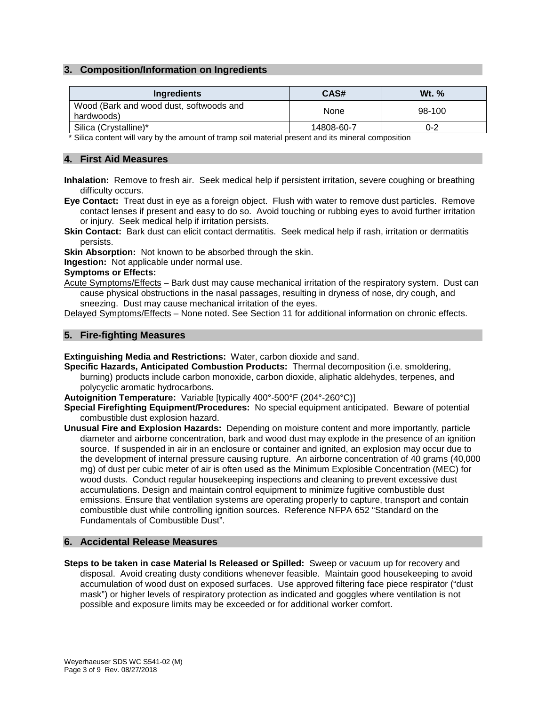#### **3. Composition/Information on Ingredients**

| Ingredients                                           | CAS#       | W <sub>t.</sub> $%$ |
|-------------------------------------------------------|------------|---------------------|
| Wood (Bark and wood dust, softwoods and<br>hardwoods) | None       | 98-100              |
| Silica (Crystalline)*                                 | 14808-60-7 | 0-2                 |

\* Silica content will vary by the amount of tramp soil material present and its mineral composition

#### **4. First Aid Measures**

- **Inhalation:** Remove to fresh air. Seek medical help if persistent irritation, severe coughing or breathing difficulty occurs.
- **Eye Contact:** Treat dust in eye as a foreign object. Flush with water to remove dust particles. Remove contact lenses if present and easy to do so. Avoid touching or rubbing eyes to avoid further irritation or injury. Seek medical help if irritation persists.
- **Skin Contact:** Bark dust can elicit contact dermatitis. Seek medical help if rash, irritation or dermatitis persists.

**Skin Absorption:** Not known to be absorbed through the skin.

**Ingestion:** Not applicable under normal use.

#### **Symptoms or Effects:**

Acute Symptoms/Effects - Bark dust may cause mechanical irritation of the respiratory system. Dust can cause physical obstructions in the nasal passages, resulting in dryness of nose, dry cough, and sneezing. Dust may cause mechanical irritation of the eyes.

Delayed Symptoms/Effects – None noted. See Section 11 for additional information on chronic effects.

#### **5. Fire-fighting Measures**

**Extinguishing Media and Restrictions:** Water, carbon dioxide and sand.

- **Specific Hazards, Anticipated Combustion Products:** Thermal decomposition (i.e. smoldering, burning) products include carbon monoxide, carbon dioxide, aliphatic aldehydes, terpenes, and polycyclic aromatic hydrocarbons.
- **Autoignition Temperature:** Variable [typically 400°-500°F (204°-260°C)]
- **Special Firefighting Equipment/Procedures:** No special equipment anticipated. Beware of potential combustible dust explosion hazard.
- **Unusual Fire and Explosion Hazards:** Depending on moisture content and more importantly, particle diameter and airborne concentration, bark and wood dust may explode in the presence of an ignition source. If suspended in air in an enclosure or container and ignited, an explosion may occur due to the development of internal pressure causing rupture. An airborne concentration of 40 grams (40,000 mg) of dust per cubic meter of air is often used as the Minimum Explosible Concentration (MEC) for wood dusts. Conduct regular housekeeping inspections and cleaning to prevent excessive dust accumulations. Design and maintain control equipment to minimize fugitive combustible dust emissions. Ensure that ventilation systems are operating properly to capture, transport and contain combustible dust while controlling ignition sources. Reference NFPA 652 "Standard on the Fundamentals of Combustible Dust".

#### **6. Accidental Release Measures**

**Steps to be taken in case Material Is Released or Spilled:** Sweep or vacuum up for recovery and disposal. Avoid creating dusty conditions whenever feasible. Maintain good housekeeping to avoid accumulation of wood dust on exposed surfaces. Use approved filtering face piece respirator ("dust mask") or higher levels of respiratory protection as indicated and goggles where ventilation is not possible and exposure limits may be exceeded or for additional worker comfort.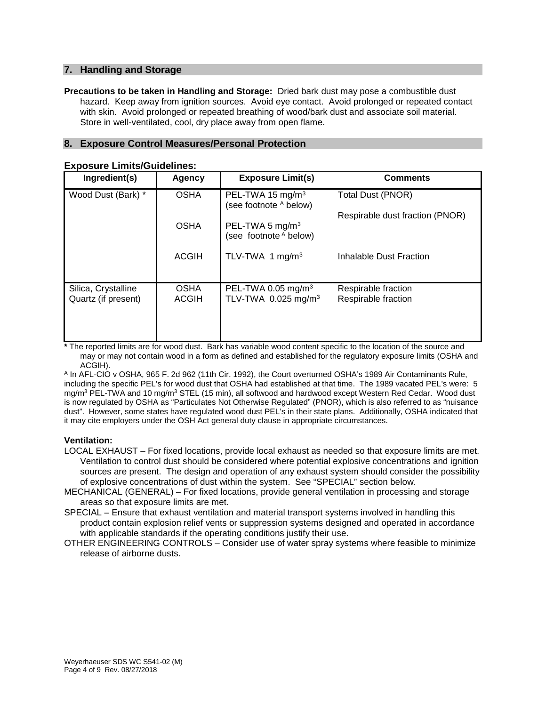#### **7. Handling and Storage**

**Precautions to be taken in Handling and Storage:** Dried bark dust may pose a combustible dust hazard. Keep away from ignition sources. Avoid eye contact. Avoid prolonged or repeated contact with skin. Avoid prolonged or repeated breathing of wood/bark dust and associate soil material. Store in well-ventilated, cool, dry place away from open flame.

#### **8. Exposure Control Measures/Personal Protection**

| Ingredient(s)                              | <b>Agency</b>               | <b>Exposure Limit(s)</b>                                          | <b>Comments</b>                            |
|--------------------------------------------|-----------------------------|-------------------------------------------------------------------|--------------------------------------------|
| Wood Dust (Bark) *                         | <b>OSHA</b>                 | PEL-TWA 15 mg/m <sup>3</sup><br>(see footnote A below)            | Total Dust (PNOR)                          |
|                                            |                             |                                                                   | Respirable dust fraction (PNOR)            |
|                                            | <b>OSHA</b>                 | PEL-TWA 5 mg/m <sup>3</sup><br>(see footnote A below)             |                                            |
|                                            | <b>ACGIH</b>                | TLV-TWA 1 mg/m <sup>3</sup>                                       | Inhalable Dust Fraction                    |
|                                            |                             |                                                                   |                                            |
| Silica, Crystalline<br>Quartz (if present) | <b>OSHA</b><br><b>ACGIH</b> | PEL-TWA 0.05 mg/m <sup>3</sup><br>TLV-TWA 0.025 mg/m <sup>3</sup> | Respirable fraction<br>Respirable fraction |
|                                            |                             |                                                                   |                                            |

#### **Exposure Limits/Guidelines:**

**\*** The reported limits are for wood dust. Bark has variable wood content specific to the location of the source and may or may not contain wood in a form as defined and established for the regulatory exposure limits (OSHA and ACGIH).

<sup>A</sup> In AFL-CIO v OSHA, 965 F. 2d 962 (11th Cir. 1992), the Court overturned OSHA's 1989 Air Contaminants Rule, including the specific PEL's for wood dust that OSHA had established at that time. The 1989 vacated PEL's were: 5 mg/m<sup>3</sup> PEL-TWA and 10 mg/m<sup>3</sup> STEL (15 min), all softwood and hardwood except Western Red Cedar. Wood dust is now regulated by OSHA as "Particulates Not Otherwise Regulated" (PNOR), which is also referred to as "nuisance dust". However, some states have regulated wood dust PEL's in their state plans. Additionally, OSHA indicated that it may cite employers under the OSH Act general duty clause in appropriate circumstances.

#### **Ventilation:**

- LOCAL EXHAUST For fixed locations, provide local exhaust as needed so that exposure limits are met. Ventilation to control dust should be considered where potential explosive concentrations and ignition sources are present. The design and operation of any exhaust system should consider the possibility of explosive concentrations of dust within the system. See "SPECIAL" section below.
- MECHANICAL (GENERAL) For fixed locations, provide general ventilation in processing and storage areas so that exposure limits are met.
- SPECIAL Ensure that exhaust ventilation and material transport systems involved in handling this product contain explosion relief vents or suppression systems designed and operated in accordance with applicable standards if the operating conditions justify their use.
- OTHER ENGINEERING CONTROLS Consider use of water spray systems where feasible to minimize release of airborne dusts.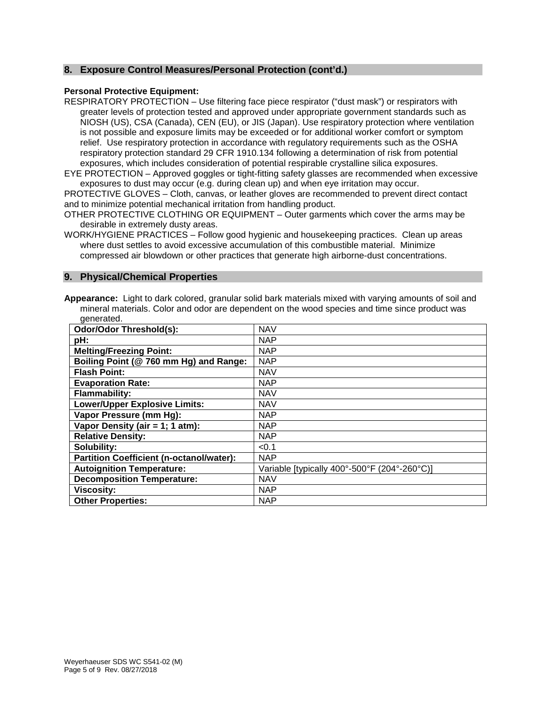#### **8. Exposure Control Measures/Personal Protection (cont'd.)**

#### **Personal Protective Equipment:**

RESPIRATORY PROTECTION – Use filtering face piece respirator ("dust mask") or respirators with greater levels of protection tested and approved under appropriate government standards such as NIOSH (US), CSA (Canada), CEN (EU), or JIS (Japan). Use respiratory protection where ventilation is not possible and exposure limits may be exceeded or for additional worker comfort or symptom relief. Use respiratory protection in accordance with regulatory requirements such as the OSHA respiratory protection standard 29 CFR 1910.134 following a determination of risk from potential exposures, which includes consideration of potential respirable crystalline silica exposures.

EYE PROTECTION – Approved goggles or tight-fitting safety glasses are recommended when excessive exposures to dust may occur (e.g. during clean up) and when eye irritation may occur.

PROTECTIVE GLOVES – Cloth, canvas, or leather gloves are recommended to prevent direct contact and to minimize potential mechanical irritation from handling product.

OTHER PROTECTIVE CLOTHING OR EQUIPMENT – Outer garments which cover the arms may be desirable in extremely dusty areas.

WORK/HYGIENE PRACTICES – Follow good hygienic and housekeeping practices. Clean up areas where dust settles to avoid excessive accumulation of this combustible material. Minimize compressed air blowdown or other practices that generate high airborne-dust concentrations.

#### **9. Physical/Chemical Properties**

**Appearance:** Light to dark colored, granular solid bark materials mixed with varying amounts of soil and mineral materials. Color and odor are dependent on the wood species and time since product was generated.

| <b>Odor/Odor Threshold(s):</b>                  | <b>NAV</b>                                   |
|-------------------------------------------------|----------------------------------------------|
| pH:                                             | <b>NAP</b>                                   |
| <b>Melting/Freezing Point:</b>                  | <b>NAP</b>                                   |
| Boiling Point (@ 760 mm Hg) and Range:          | <b>NAP</b>                                   |
| <b>Flash Point:</b>                             | <b>NAV</b>                                   |
| <b>Evaporation Rate:</b>                        | <b>NAP</b>                                   |
| <b>Flammability:</b>                            | <b>NAV</b>                                   |
| <b>Lower/Upper Explosive Limits:</b>            | <b>NAV</b>                                   |
| Vapor Pressure (mm Hg):                         | <b>NAP</b>                                   |
| Vapor Density (air = 1; 1 atm):                 | <b>NAP</b>                                   |
| <b>Relative Density:</b>                        | <b>NAP</b>                                   |
| Solubility:                                     | < 0.1                                        |
| <b>Partition Coefficient (n-octanol/water):</b> | <b>NAP</b>                                   |
| <b>Autoignition Temperature:</b>                | Variable [typically 400°-500°F (204°-260°C)] |
| <b>Decomposition Temperature:</b>               | <b>NAV</b>                                   |
| <b>Viscosity:</b>                               | <b>NAP</b>                                   |
| <b>Other Properties:</b>                        | <b>NAP</b>                                   |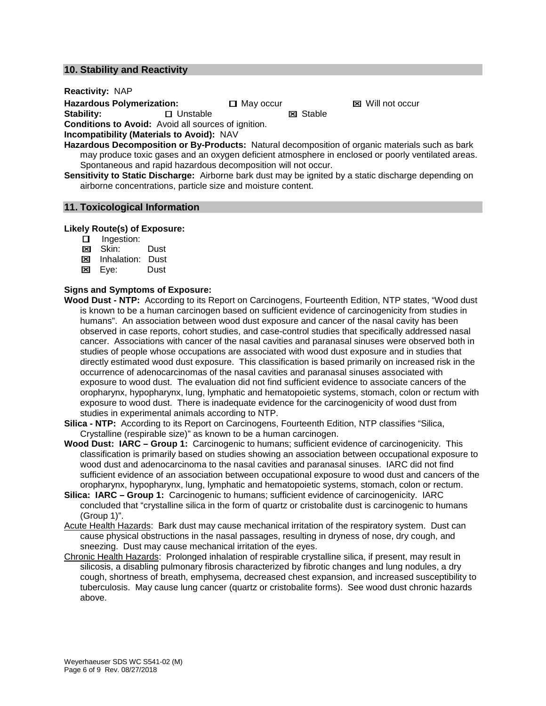#### **10. Stability and Reactivity**

**Reactivity:** NAP

**Hazardous Polymerization:** <br> **Guarge Transform I** Unstable **May occur** <br>
May occur **May Stable May Stable May of the CI** Stable

**El** Unstable

**Conditions to Avoid:** Avoid all sources of ignition.

**Incompatibility (Materials to Avoid):** NAV

**Hazardous Decomposition or By-Products:** Natural decomposition of organic materials such as bark may produce toxic gases and an oxygen deficient atmosphere in enclosed or poorly ventilated areas. Spontaneous and rapid hazardous decomposition will not occur.

**Sensitivity to Static Discharge:** Airborne bark dust may be ignited by a static discharge depending on airborne concentrations, particle size and moisture content.

#### **11. Toxicological Information**

#### **Likely Route(s) of Exposure:**

- **Ingestion:**
- **Ed** Skin: Dust
- **EX** Inhalation: Dust
- **Exe:** Dust

#### **Signs and Symptoms of Exposure:**

- **Wood Dust - NTP:** According to its Report on Carcinogens, Fourteenth Edition, NTP states, "Wood dust is known to be a human carcinogen based on sufficient evidence of carcinogenicity from studies in humans". An association between wood dust exposure and cancer of the nasal cavity has been observed in case reports, cohort studies, and case-control studies that specifically addressed nasal cancer. Associations with cancer of the nasal cavities and paranasal sinuses were observed both in studies of people whose occupations are associated with wood dust exposure and in studies that directly estimated wood dust exposure. This classification is based primarily on increased risk in the occurrence of adenocarcinomas of the nasal cavities and paranasal sinuses associated with exposure to wood dust. The evaluation did not find sufficient evidence to associate cancers of the oropharynx, hypopharynx, lung, lymphatic and hematopoietic systems, stomach, colon or rectum with exposure to wood dust. There is inadequate evidence for the carcinogenicity of wood dust from studies in experimental animals according to NTP.
- **Silica - NTP:** According to its Report on Carcinogens, Fourteenth Edition, NTP classifies "Silica, Crystalline (respirable size)" as known to be a human carcinogen.
- **Wood Dust: IARC – Group 1:** Carcinogenic to humans; sufficient evidence of carcinogenicity. This classification is primarily based on studies showing an association between occupational exposure to wood dust and adenocarcinoma to the nasal cavities and paranasal sinuses. IARC did not find sufficient evidence of an association between occupational exposure to wood dust and cancers of the oropharynx, hypopharynx, lung, lymphatic and hematopoietic systems, stomach, colon or rectum.
- **Silica: IARC – Group 1:** Carcinogenic to humans; sufficient evidence of carcinogenicity. IARC concluded that "crystalline silica in the form of quartz or cristobalite dust is carcinogenic to humans (Group 1)".
- Acute Health Hazards: Bark dust may cause mechanical irritation of the respiratory system. Dust can cause physical obstructions in the nasal passages, resulting in dryness of nose, dry cough, and sneezing. Dust may cause mechanical irritation of the eyes.
- Chronic Health Hazards: Prolonged inhalation of respirable crystalline silica, if present, may result in silicosis, a disabling pulmonary fibrosis characterized by fibrotic changes and lung nodules, a dry cough, shortness of breath, emphysema, decreased chest expansion, and increased susceptibility to tuberculosis. May cause lung cancer (quartz or cristobalite forms). See wood dust chronic hazards above.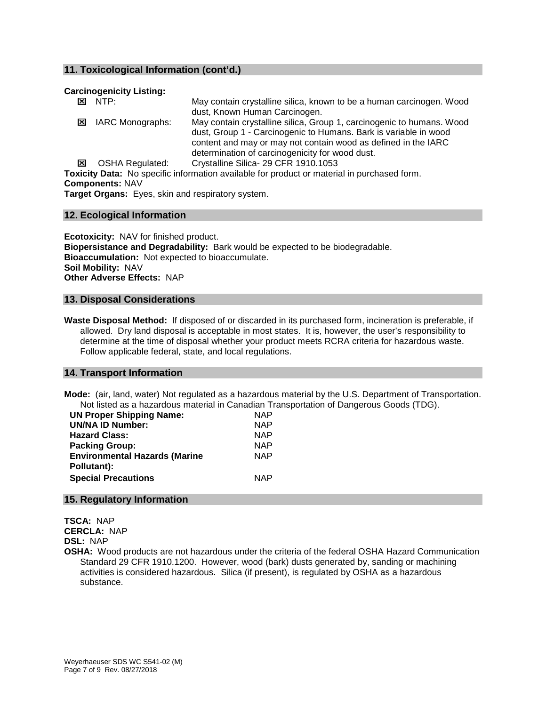#### **11. Toxicological Information (cont'd.)**

#### **Carcinogenicity Listing:**

|                       | $\overline{\mathbf{x}}$ NTP:                      | May contain crystalline silica, known to be a human carcinogen. Wood                        |
|-----------------------|---------------------------------------------------|---------------------------------------------------------------------------------------------|
|                       |                                                   | dust, Known Human Carcinogen.                                                               |
| ×                     | IARC Monographs:                                  | May contain crystalline silica, Group 1, carcinogenic to humans. Wood                       |
|                       |                                                   | dust, Group 1 - Carcinogenic to Humans. Bark is variable in wood                            |
|                       |                                                   | content and may or may not contain wood as defined in the IARC                              |
|                       |                                                   | determination of carcinogenicity for wood dust.                                             |
| $\boldsymbol{\times}$ | OSHA Regulated:                                   | Crystalline Silica- 29 CFR 1910.1053                                                        |
|                       |                                                   | Toxicity Data: No specific information available for product or material in purchased form. |
|                       | <b>Components: NAV</b>                            |                                                                                             |
|                       | Tennet Annene: Files, alde and competient clubban |                                                                                             |

**Target Organs:** Eyes, skin and respiratory system.

#### **12. Ecological Information**

**Ecotoxicity:** NAV for finished product. **Biopersistance and Degradability:** Bark would be expected to be biodegradable. **Bioaccumulation:** Not expected to bioaccumulate. **Soil Mobility:** NAV **Other Adverse Effects:** NAP

#### **13. Disposal Considerations**

**Waste Disposal Method:** If disposed of or discarded in its purchased form, incineration is preferable, if allowed. Dry land disposal is acceptable in most states. It is, however, the user's responsibility to determine at the time of disposal whether your product meets RCRA criteria for hazardous waste. Follow applicable federal, state, and local regulations.

#### **14. Transport Information**

**Mode:** (air, land, water) Not regulated as a hazardous material by the U.S. Department of Transportation. Not listed as a hazardous material in Canadian Transportation of Dangerous Goods (TDG).

| <b>UN Proper Shipping Name:</b>      | <b>NAP</b> |
|--------------------------------------|------------|
| <b>UN/NA ID Number:</b>              | <b>NAP</b> |
| <b>Hazard Class:</b>                 | <b>NAP</b> |
| <b>Packing Group:</b>                | <b>NAP</b> |
| <b>Environmental Hazards (Marine</b> | <b>NAP</b> |
| Pollutant):                          |            |
| <b>Special Precautions</b>           | <b>NAP</b> |
|                                      |            |

#### **15. Regulatory Information**

**TSCA:** NAP **CERCLA:** NAP **DSL:** NAP

**OSHA:** Wood products are not hazardous under the criteria of the federal OSHA Hazard Communication Standard 29 CFR 1910.1200. However, wood (bark) dusts generated by, sanding or machining activities is considered hazardous. Silica (if present), is regulated by OSHA as a hazardous substance.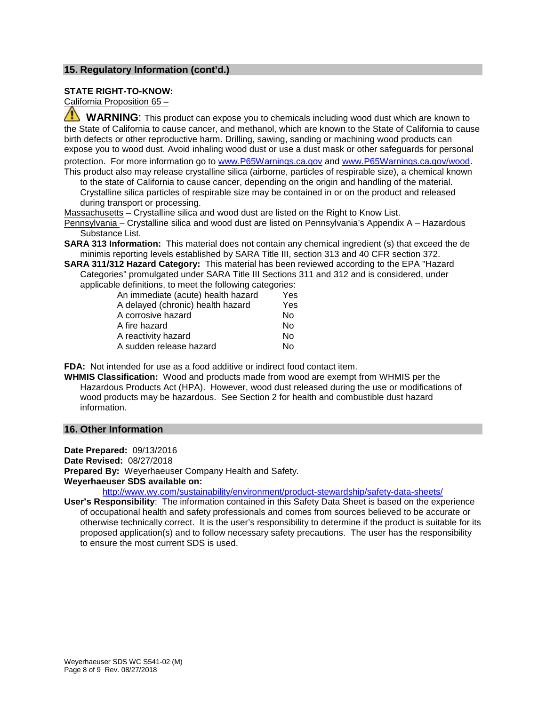#### **15. Regulatory Information (cont'd.)**

#### **STATE RIGHT-TO-KNOW:**

California Proposition 65 –

 **WARNING**: This product can expose you to chemicals including wood dust which are known to the State of California to cause cancer, and methanol, which are known to the State of California to cause birth defects or other reproductive harm. Drilling, sawing, sanding or machining wood products can expose you to wood dust. Avoid inhaling wood dust or use a dust mask or other safeguards for personal protection. For more information go to [www.P65Warnings.ca.gov](http://www.p65warnings.ca.gov/) and [www.P65Warnings.ca.gov/wood.](http://www.p65warnings.ca.gov/wood) This product also may release crystalline silica (airborne, particles of respirable size), a chemical known

to the state of California to cause cancer, depending on the origin and handling of the material. Crystalline silica particles of respirable size may be contained in or on the product and released during transport or processing.

Massachusetts – Crystalline silica and wood dust are listed on the Right to Know List.

Pennsylvania – Crystalline silica and wood dust are listed on Pennsylvania's Appendix A – Hazardous Substance List.

- **SARA 313 Information:** This material does not contain any chemical ingredient (s) that exceed the de minimis reporting levels established by SARA Title III, section 313 and 40 CFR section 372.
- **SARA 311/312 Hazard Category:** This material has been reviewed according to the EPA "Hazard Categories" promulgated under SARA Title III Sections 311 and 312 and is considered, under applicable definitions, to meet the following categories:

| An immediate (acute) health hazard | Yes |
|------------------------------------|-----|
| A delayed (chronic) health hazard  | Yes |
| A corrosive hazard                 | N٥  |
| A fire hazard                      | Nο  |
| A reactivity hazard                | Nο  |
| A sudden release hazard            | N٥  |

**FDA:** Not intended for use as a food additive or indirect food contact item.

**WHMIS Classification:** Wood and products made from wood are exempt from WHMIS per the Hazardous Products Act (HPA). However, wood dust released during the use or modifications of wood products may be hazardous. See Section 2 for health and combustible dust hazard information.

#### **16. Other Information**

**Date Prepared:** 09/13/2016

**Date Revised:** 08/27/2018

**Prepared By:** Weyerhaeuser Company Health and Safety.

#### **Weyerhaeuser SDS available on:**

<http://www.wy.com/sustainability/environment/product-stewardship/safety-data-sheets/>

**User's Responsibility**: The information contained in this Safety Data Sheet is based on the experience of occupational health and safety professionals and comes from sources believed to be accurate or otherwise technically correct. It is the user's responsibility to determine if the product is suitable for its proposed application(s) and to follow necessary safety precautions. The user has the responsibility to ensure the most current SDS is used.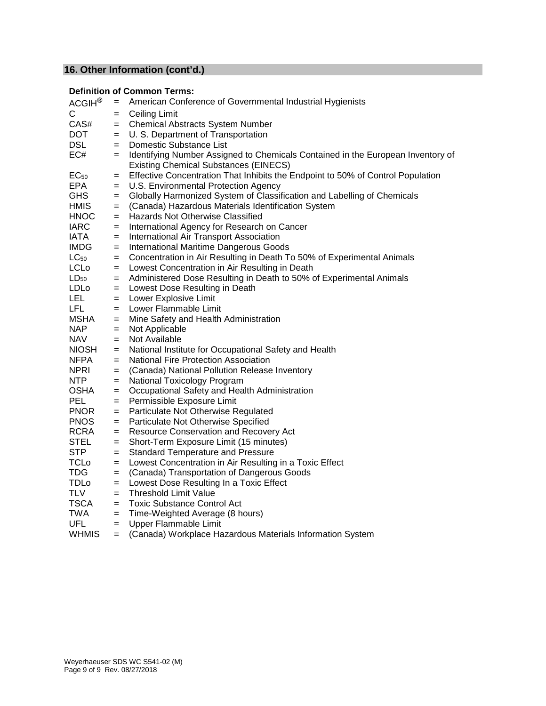### **16. Other Information (cont'd.)**

### **Definition of Common Terms:**

| ACGIH <sup>®</sup> | $=$ | American Conference of Governmental Industrial Hygienists                                                                       |
|--------------------|-----|---------------------------------------------------------------------------------------------------------------------------------|
| C                  | $=$ | <b>Ceiling Limit</b>                                                                                                            |
| CAS#               | $=$ | <b>Chemical Abstracts System Number</b>                                                                                         |
| <b>DOT</b>         | $=$ | U. S. Department of Transportation                                                                                              |
| <b>DSL</b>         | $=$ | Domestic Substance List                                                                                                         |
| EC#                | $=$ | Identifying Number Assigned to Chemicals Contained in the European Inventory of<br><b>Existing Chemical Substances (EINECS)</b> |
| $EC_{50}$          | $=$ | Effective Concentration That Inhibits the Endpoint to 50% of Control Population                                                 |
| EPA                | $=$ | U.S. Environmental Protection Agency                                                                                            |
| <b>GHS</b>         | $=$ | Globally Harmonized System of Classification and Labelling of Chemicals                                                         |
| <b>HMIS</b>        | $=$ | (Canada) Hazardous Materials Identification System                                                                              |
| <b>HNOC</b>        | $=$ | Hazards Not Otherwise Classified                                                                                                |
| <b>IARC</b>        | $=$ | International Agency for Research on Cancer                                                                                     |
| <b>IATA</b>        | $=$ | International Air Transport Association                                                                                         |
| <b>IMDG</b>        | $=$ | International Maritime Dangerous Goods                                                                                          |
| $LC_{50}$          | $=$ | Concentration in Air Resulting in Death To 50% of Experimental Animals                                                          |
| LCLo               | $=$ | Lowest Concentration in Air Resulting in Death                                                                                  |
| $LD_{50}$          | $=$ | Administered Dose Resulting in Death to 50% of Experimental Animals                                                             |
| LDLo               | $=$ | Lowest Dose Resulting in Death                                                                                                  |
| <b>LEL</b>         | $=$ | Lower Explosive Limit                                                                                                           |
| LFL.               | $=$ | Lower Flammable Limit                                                                                                           |
| <b>MSHA</b>        | $=$ | Mine Safety and Health Administration                                                                                           |
| <b>NAP</b>         | $=$ | Not Applicable                                                                                                                  |
| <b>NAV</b>         | $=$ | Not Available                                                                                                                   |
| <b>NIOSH</b>       | $=$ | National Institute for Occupational Safety and Health                                                                           |
| <b>NFPA</b>        | $=$ | National Fire Protection Association                                                                                            |
| <b>NPRI</b>        | $=$ | (Canada) National Pollution Release Inventory                                                                                   |
| <b>NTP</b>         | $=$ | National Toxicology Program                                                                                                     |
| <b>OSHA</b>        | $=$ | Occupational Safety and Health Administration                                                                                   |
| <b>PEL</b>         | $=$ | Permissible Exposure Limit                                                                                                      |
| <b>PNOR</b>        | $=$ | Particulate Not Otherwise Regulated                                                                                             |
| <b>PNOS</b>        | $=$ | Particulate Not Otherwise Specified                                                                                             |
| <b>RCRA</b>        | $=$ | Resource Conservation and Recovery Act                                                                                          |
| <b>STEL</b>        | $=$ | Short-Term Exposure Limit (15 minutes)                                                                                          |
| <b>STP</b>         | $=$ | <b>Standard Temperature and Pressure</b>                                                                                        |
| <b>TCLo</b>        | $=$ | Lowest Concentration in Air Resulting in a Toxic Effect                                                                         |
| TDG                | $=$ | (Canada) Transportation of Dangerous Goods                                                                                      |
| <b>TDLo</b>        | $=$ | Lowest Dose Resulting In a Toxic Effect                                                                                         |
| <b>TLV</b>         | $=$ | <b>Threshold Limit Value</b>                                                                                                    |
| <b>TSCA</b>        | $=$ | <b>Toxic Substance Control Act</b>                                                                                              |
| TWA                | $=$ | Time-Weighted Average (8 hours)                                                                                                 |
| <b>UFL</b>         | $=$ | Upper Flammable Limit                                                                                                           |
| <b>WHMIS</b>       | $=$ | (Canada) Workplace Hazardous Materials Information System                                                                       |